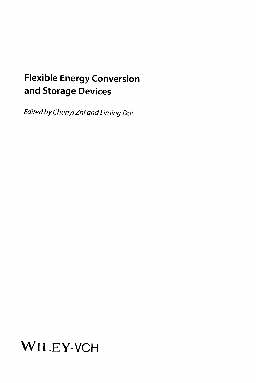## Flexible Energy Conversion and Storage Devices

Edited by Chunyi Zhi and Liming Dai

# Wl LEY-VCH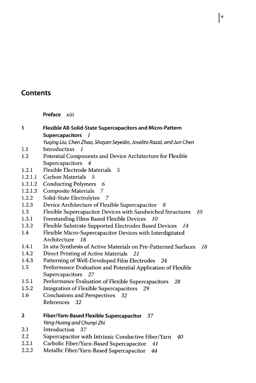### **Contents**

Preface xiii

| 1              | Flexible All-Solid-State Supercapacitors and Micro-Pattern            |
|----------------|-----------------------------------------------------------------------|
|                | <b>Supercapacitors</b><br>$\overline{1}$                              |
|                | Yuqing Liu, Chen Zhao, Shayan Seyedin, Joselito Razal, and Jun Chen   |
| 1.1            | Introduction<br>$\mathbf{I}$                                          |
| 1.2            | Potential Components and Device Architecture for Flexible             |
|                | Supercapacitors<br>4                                                  |
| 1.2.1          | Flexible Electrode Materials<br>.5                                    |
| 1.2.1.1        | Carbon Materials 5                                                    |
| 1.2.1.2        | <b>Conducting Polymers</b><br>6                                       |
| 1.2.1.3        | <b>Composite Materials</b><br>7                                       |
| 1.2.2          | Solid-State Electrolytes<br>7                                         |
| 1.2.3          | Device Architecture of Flexible Supercapacitor<br>- 8                 |
| 1.3            | Flexible Supercapacitor Devices with Sandwiched Structures<br>10      |
| 1.3.1          | Freestanding Films Based Flexible Devices 10                          |
| 1.3.2          | Flexible Substrate Supported Electrodes Based Devices<br>- 14         |
| 1.4            | Flexible Micro-Supercapacitor Devices with Interdigitated             |
|                | Architecture<br>18                                                    |
| 1.4.1          | In situ Synthesis of Active Materials on Pre-Patterned Surfaces<br>18 |
| 1.4.2          | Direct Printing of Active Materials 21                                |
| 1.4.3          | Patterning of Well-Developed Film Electrodes<br>- 24                  |
| 1.5            | Performance Evaluation and Potential Application of Flexible          |
|                | Supercapacitors 27                                                    |
| 1.5.1          | Performance Evaluation of Flexible Supercapacitors<br>28              |
| 1.5.2          | <b>Integration of Flexible Supercapacitors</b><br>29                  |
| 1.6            | Conclusions and Perspectives 32                                       |
|                | References<br>32                                                      |
| $\overline{2}$ | Fiber/Yarn-Based Flexible Supercapacitor 37                           |
|                | Yang Huang and Chunyi Zhi                                             |
| 2.1            | Introduction 37                                                       |
| 2.2            | Supercapacitor with Intrinsic Conductive Fiber/Yarn<br>40             |
| 2.2.1          | Carbolic Fiber/Yarn-Based Supercapacitor<br>41                        |
|                |                                                                       |

 $\mathsf{L}$ 

2.2.2 Metallic Fiber/Yarn-Based Supercapacitor 44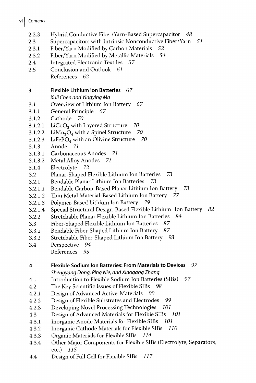- vi | Contents
	- 2.2.3 Hybrid Conductive Fiber/Yarn-Based Supercapacitor 48
	- 2.3 Supercapacitors with Intrinsic Nonconductive Fiber/Yarn 51
	- 2.3.1 Fiber/Yarn Modified by Carbon Materials 52
	- 2.3.2 Fiber/Yarn Modified by Metallic Materials 54
	- 2.4 Integrated Electronic Textiles 57
	- 2.5 Conclusion and Outlook 61 References 62

#### 3 Flexible Lithium Ion Batteries 67

Xuli Chen and Yingying Ma

- 3.1 Overview of Lithium Ion Battery 67
- 3.1.1 General Principle 67
- 3.1.2 Cathode 70
- 3.1.2.1 LiCoO<sub>2</sub> with Layered Structure  $70$
- 3.1.2.2 LiMn<sub>2</sub>O<sub>4</sub> with a Spinel Structure 70
- 3.1.2.3 LiFePO<sub>4</sub> with an Olivine Structure 70
- 3.1.3 Anode 71
- 3.1.3.1 Carbonaceous Anodes 71
- 3.1.3.2 Metal Alloy Anodes 71
- 3.1.4 Electrolyte 72
- 3.2 Planar-Shaped Flexible Lithium Ion Batteries <sup>73</sup>
- 3.2.1 Bendable Planar Lithium Ion Batteries 73
- 3.2.1.1 Bendable Carbon-Based Planar Lithium Ion Battery 73
- 3.2.1.2 Thin Metal Material-Based Lithium Ion Battery 77
- 3.2.1.3 Polymer-Based Lithium Ion Battery 79
- 3.2.1.4 Special Structural Design-Based Flexible Lithium-Ion Battery 82
- 3.2.2 Stretchable Planar Flexible Lithium Ion Batteries 84
- 3.3 Fiber-Shaped Flexible Lithium Ion Batteries 87
- 3.3.1 Bendable Fiber-Shaped Lithium Ion Battery 87
- 3.3.2 Stretchable Fiber-Shaped Lithium Ion Battery 93
- 3.4 Perspective 94 References 95

#### 4 Flexible Sodium Ion Batteries: From Materials to Devices 97

Shengyang Dong, Ping Nie, and Xiaogang Zhang

- 4.1 Introduction to Flexible Sodium Ion Batteries (SIBs) 97
- 4.2 The Key Scientific Issues of Flexible SIBs 98
- 4.2.1 Design of Advanced Active-Materials 99
- 4.2.2 Design of Flexible Substrates and Electrodes <sup>99</sup>
- 4.2.3 Developing Novel Processing Technologies 101
- 4.3 Design of Advanced Materials for Flexible SIBs 101
- 4.3.1 Inorganic Anode Materials for Flexible SIBs <sup>101</sup>
- 4.3.2 Inorganic Cathode Materials for Flexible SIBs 110
- 4.3.3 Organic Materials for Flexible SIBs 114
- 4.3.4 Other Major Components for Flexible SIBs (Electrolyte, Separators, etc.) 115
- 4.4 Design of Full Cell for Flexible SIBs 117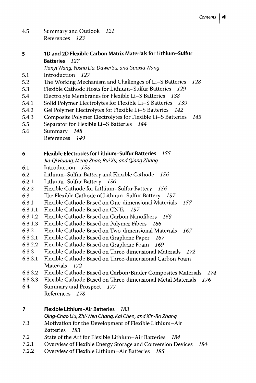- 4.5 Summary and Outlook 121 References 123
- 5 1D and 2D Flexible Carbon Matrix Materials for Lithium-Sulfur Batteries 127

Tianyi Wang, Yushu Liu, Dawei Su, and Guoxiu Wang

- 5.1 Introduction 127
- 5.2 The Working Mechanism and Challenges of Li-S Batteries 128
- 5.3 Flexible Cathode Hosts for Lithium-Sulfur Batteries 129
- 5.4 Electrolyte Membranes for Flexible Li-S Batteries 138
- 5.4.1 Solid Polymer Electrolytes for Flexible Li-S Batteries 139
- 5.4.2 Gel Polymer Electrolytes for Flexible Li-S Batteries 142
- 5.4.3 Composite Polymer Electrolytes for Flexible Li-S Batteries 143
- 5.5 Separator for Flexible Li-S Batteries 144
- 5.6 Summary 148 References 149

#### 6 Flexible Electrodes for Lithium-Sulfur Batteries 155

Jia-Qi Huang, MengZhao, RuiXu, and Qiang Zhang

- 6.1 Introduction 155
- 6.2 Lithium-Sulfur Battery and Flexible Cathode 156
- 6.2.1 Lithium-Sulfur Battery 156
- 6.2.2 Flexible Cathode for Lithium-Sulfur Battery 156
- 6.3 The Flexible Cathode of Lithium-Sulfur Battery 157
- 6.3.1 Flexible Cathode Based on One-dimensional Materials 157
- 6.3.1.1 Flexible Cathode Based on CNTs 157
- 6.3.1.2 Flexible Cathode Based on Carbon Nanofibers 163
- 6.3.1.3 Flexible Cathode Based on Polymer Fibers 166
- 6.3.2 Flexible Cathode Based on Two-dimensional Materials 167
- 6.3.2.1 Flexible Cathode Based on Graphene Paper 167
- 6.3.2.2 Flexible Cathode Based on Graphene Foam 169
- 6.3.3 Flexible Cathode Based on Three-dimensional Materials 172
- 6.3.3.1 Flexible Cathode Based on Three-dimensional Carbon Foam Materials 172
- 6.3.3.2 Flexible Cathode Based on Carbon/Binder Composites Materials 174
- 6.3.3.3 Flexible Cathode Based on Three-dimensional Metal Materials 176
- 6.4 Summary and Prospect 177
	- References 178

#### 7 Flexible Lithium-Air Batteries 183

Qing-Chao Liu, Zhi-Wen Chang, Kai Chen, and Xin-Bo Zhang

- 7.1 Motivation for the Development of Flexible Lithium-Air Batteries 183
- 7.2 State of the Art for Flexible Lithium-Air Batteries 184
- 7.2.1 Overview of Flexible Energy Storage and Conversion Devices 184
- 7.2.2 Overview of Flexible Lithium-Air Batteries 185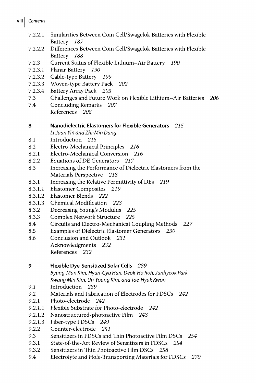- viii | Contents
	- 7.2.2.1 Similarities Between Coin Cell/Swagelok Batteries with Flexible Battery 187
	- 7.2.2.2 Differences Between Coin Cell/Swagelok Batteries with Flexible Battery 188
	- 7.2.3 Current Status of Flexible Lithium-Air Battery 190
	- 7.2.3.1 Planar Battery 190
	- 7.2.3.2 Cable-type Battery 199
	- 7.2.3.3 Woven-type Battery Pack 202
	- 7.2.3A Battery Array Pack 203
	- 7.3 Challenges and Future Work on Flexible Lithium-Air Batteries 206
	- 7.4 Concluding Remarks 207 References 208

8 Nanodielectric Elastomers for Flexible Generators 275

Li-Juan Yin andZhi-Min Dang

- 8.1 Introduction 215
- 8.2 Electro-Mechanical Principles 276
- 8.2.1 Electro-Mechanical Conversion 276
- 8.2.2 Equations of DE Generators 277
- 8.3 Increasing the Performance of Dielectric Elastomers from the Materials Perspective 218
- 8.3.1 Increasing the Relative Permittivity of DEs 279
- 8.3.1.1 Elastomer Composites 279
- 8.3.1.2 Elastomer Blends 222
- 8.3.1.3 Chemical Modification 223
- 8.3.2 Decreasing Young's Modulus 225<br>8.3.3 Complex Network Structure 225
- Complex Network Structure 225
- 8.4 Circuits and Electro-Mechanical Coupling Methods 227
- 8.5 Examples of Dielectric Elastomer Generators 230
- 8.6 Conclusion and Outlook 237 Acknowledgments 232 References 232

#### 9 Flexible Dye-Sensitized Solar Cells 239

Byung-Man Kim, Hyun-Gyu Han, Deok-Ho Roh, Junhyeok Park, Kwang Min Kim, Un-Young Kim, and Tae-Hyuk Kwon

- 9.1 Introduction 239
- 9.2 Materials and Fabrication of Electrodes for FDSCs 242
- 9.2.1 Photo-electrode 242
- 9.2.1.1 Flexible Substrate for Photo-electrode 242
- 9.2.1.2 Nanostructured-photoactive Film 243
- 9.2.1.3 Fiber-type FDSCs 249
- 9.2.2 Counter-electrode 257
- 9.3 Sensitizers in FDSCs and Thin Photoactive Film DSCs 254
- 9.3.1 State-of-the-Art Review of Sensitizers in FDSCs 254
- 9.3.2 Sensitizers in Thin Photoactive Film DSCs 258
- 9.4 Electrolyte and Hole-Transporting Materials for FDSCs 270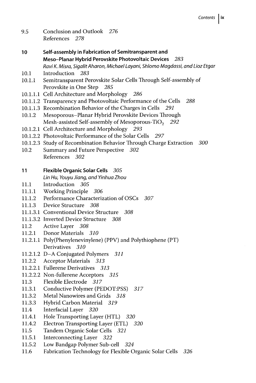- 9.5 Conclusion and Outlook 276 References 278
- 10 Self-assembly in Fabrication of Semitransparent and Meso-Planar Hybrid Perovskite Photovoltaic Devices 283 Ravi K. Misra, Sigalit Aharon, Michael Layani, Shlomo Magdassi, and Lioz Etgar
- 10.1 Introduction 283
- 10.1.1 Semitransparent Perovskite Solar Cells Through Self-assembly of Perovskite in One Step 285
- 10.1.1.1 Cell Architecture and Morphology 286
- 10.1.1.2 Transparency and Photovoltaic Performance of the Cells 288
- 10.1.1.3 Recombination Behavior of the Charges in Cells 291
- 10.1.2 Mesoporous-Planar Hybrid Perovskite Devices Through Mesh-assisted Self-assembly of Mesoporous-TiO<sub>2</sub> 292
- 10.1.2.1 Cell Architecture and Morphology 293
- 10.1.2.2 Photovoltaic Performance of the Solar Cells 297
- 10.1.2.3 Study of Recombination Behavior Through Charge Extraction 300
- 10.2 Summary and Future Perspective 302 References 302

#### 11 Flexible Organic Solar Cells 305

Lin Hu, Youyu Jiang, and Yinhua Zhou

- 11.1 Introduction 305
- 11.1.1 Working Principle 306
- 11.1.2 Performance Characterization of OSCs 307
- 11.1.3 Device Structure 308
- 11.1.3.1 Conventional Device Structure 308
- 11.1.3.2 Inverted Device Structure 308
- 11.2 Active Layer 308
- 11.2.1 Donor Materials 310
- 11.2.1.1 Poly(Phenylenevinylene) (PPV) and Polythiophene (PT) Derivatives 310
- 11.2.1.2 D-A Conjugated Polymers <sup>311</sup>
- 11.2.2 Acceptor Materials 313
- 11.2.2.1 Fullerene Derivatives 313
- 11.2.2.2 Non-fullerene Acceptors 315
- 11.3 Flexible Electrode 317
- 11.3.1 Conductive Polymer (PEDOT:PSS) 317
- 11.3.2 Metal Nanowires and Grids 318
- 11.3.3 Hybrid Carbon Material 319
- 11A Interfacial Layer 320
- 11.4.1 Hole Transporting Layer (HTL) 320
- 11.4.2 Electron Transporting Layer (ETL) 320
- 11.5 Tandem Organic Solar Cells <sup>321</sup>
- 11.5.1 Interconnecting Layer 322
- 11.5.2 Low Bandgap Polymer Sub-cell 324
- 11.6 Fabrication Technology for Flexible Organic Solar Cells 326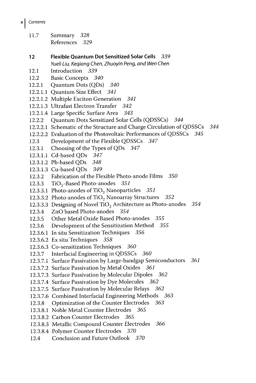- x Contents
	- 11.7 Summary 328 References 329
	- 12 Flexible Quantum Dot Sensitized Solar Cells 339 Yueli Liu, Keqiang Chen, Zhuoyin Peng, and Wen Chen
	- 12.1 Introduction 339
	- 12.2 Basic Concepts 340
	- 12.2.1 Quantum Dots (QDs) 340
	- 12.2.1.1 Quantum Size Effect 341
	- 12.2.1.2 Multiple Exciton Generation 341
	- 12.2.1.3 Ultrafast Electron Transfer 342
	- 12.2.1.4 Large Specific Surface Area 343
	- 12.2.2 Quantum Dots Sensitized Solar Cells (QDSSCs) 344
	- 12.2.2.1 Schematic of the Structure and Charge Circulation of QDSSCs 344
	- 12.2.2.2 Evaluation of the Photovoltaic Performances of QDSSCs 345
	- 12.3 Development of the Flexible QDSSCs 347
	- 12.3.1 Choosing of the Types of QDs 347
	- 12.3.1.1 Cd-basedQDs 347
	- 12.3.1.2 Pb-basedQDs 348
	- 12.3.1.3 Cu-basedQDs 349
	- 12.3.2 Fabrication of the Flexible Photo-anode Films 350
	- 12.3.3 TiO<sub>2</sub>-Based Photo-anodes  $351$
	- 12.3.3.1 Photo-anodes of TiO<sub>2</sub> Nanoparticles  $351$
	- 12.3.3.2 Photo-anodes of  $TiO<sub>2</sub>$  Nanoarray Structures 352
	- 12.3.3.3 Designing of Novel TiO<sub>2</sub> Architecture as Photo-anodes  $354$
	- 12.3A ZnO based Photo-anodes 354
	- 12.3.5 Other Metal Oxide Based Photo-anodes 355
	- 12.3.6 Development of the Sensitization Method <sup>355</sup>
	- 12.3.6.1 In situ Sensitization Techniques 356
	- 12.3.6.2 Ex situ Techniques 358
	- 12.3.6.3 Co-sensitization Techniques 360
	- 12.3.7 Interfacial Engineering in QDSSCs 360
	- 12.3.7.1 Surface Passivation by Large-bandgap Semiconductors 361
	- 12.3.7.2 Surface Passivation by Metal Oxides 361
	- 12.3.7.3 Surface Passivation by Molecular Dipoles 362
	- 12.3.7A Surface Passivation by Dye Molecules 362
	- 12.3.7.5 Surface Passivation by Molecular Relays 362
	- 12.3.7.6 Combined Interfacial Engineering Methods 363
	- 12.3.8 Optimization of the Counter Electrodes 363
	- 12.3.8.1 Noble Metal Counter Electrodes 365
	- 12.3.8.2 Carbon Counter Electrodes 365
	- 12.3.8.3 Metallic Compound Counter Electrodes 366
	- 12.3.8.4 Polymer Counter Electrodes 370
	- 12.4 Conclusion and Future Outlook 370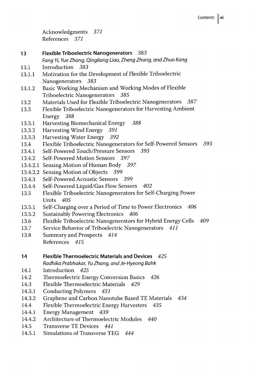Acknowledgments 371 References 371

- 13 Flexible Triboelectric Nanogenerators 383
- Fang Yi, Yue Zhang, Qingliang Liao, Zheng Zhang, and Zhuo Kang
- 13.1 Introduction 383
- 13.1.1 Motivation for the Development of Flexible Triboelectric Nanogenerators 383
- 13.1.2 Basic Working Mechanism and Working Modes of Flexible Triboelectric Nanogenerators 385
- 13.2 Materials Used for Flexible Triboelectric Nanogenerators 387
- 13.3 Flexible Triboelectric Nanogenerators for Harvesting Ambient Energy 388
- 13.3.1 Harvesting Biomechanical Energy 388
- 13.3.2 Harvesting Wind Energy <sup>391</sup>
- 13.3.3 Harvesting Water Energy 392
- 13.4 Flexible Triboelectric Nanogenerators for Self-Powered Sensors 393
- 13.4.1 Self-Powered Touch/Pressure Sensors 393
- 13.4.2 Self-Powered Motion Sensors 397
- 13.4.2.1 Sensing Motion of Human Body 397
- 13.4.2.2 Sensing Motion of Objects 399
- 13.4.3 Self-Powered Acoustic Sensors 399
- 13AA Self-Powered Liquid/Gas Flow Sensors <sup>402</sup>
- 13.5 Flexible Triboelectric Nanogenerators for Self-Charging Power Units 405
- 13.5.1 Self-Charging over a Period of Time to Power Electronics 406
- 13.5.2 Sustainably Powering Electronics 406
- 13.6 Flexible Triboelectric Nanogenerators for Hybrid Energy Cells 409
- 13.7 Service Behavior of Triboelectric Nanogenerators 411
- 13.8 Summary and Prospects 414 References 415

- Radhika Prabhakar, Yu Zhang, and Je-Hyeong Bahk
- 14.1 Introduction 425
- 14.2 Thermoelectric Energy Conversion Basics 426
- 14.3 Flexible Thermoelectric Materials 429
- 14.3.1 Conducting Polymers 431
- 14.3.2 Graphene and Carbon Nanotube Based TE Materials 434
- 14.4 Flexible Thermoelectric Energy Harvesters 435
- 14.4.1 Energy Management 439
- 14.4.2 Architecture of Thermoelectric Modules 440
- 14.5 Transverse TE Devices 441
- 14.5.1 Simulations of Transverse TEG 444

<sup>14</sup> Flexible Thermoelectric Materials and Devices 425